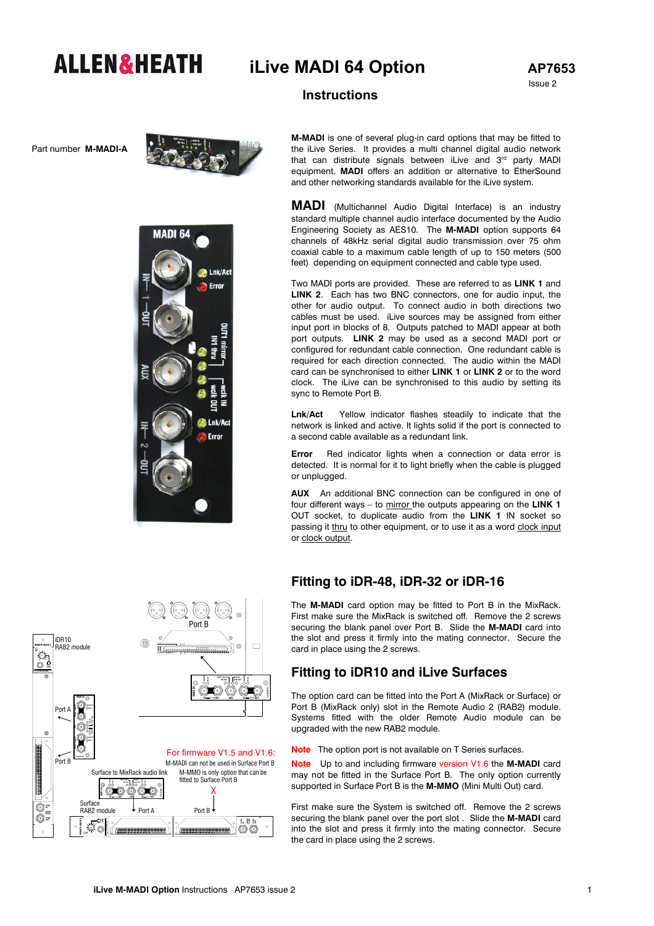# **ALLEN&HEATH** iLive MADI 64 Option AP7653

Issue 2

## **Instructions**

Part number **M-MADI-A** 



Lnk/Ac Error

**MADI 64** 

**M-MADI** is one of several plug-in card options that may be fitted to the iLive Series. It provides a multi channel digital audio network that can distribute signals between iLive and 3<sup>rd</sup> party MADI equipment. **MADI** offers an addition or alternative to EtherSound and other networking standards available for the iLive system.

**MADI** (Multichannel Audio Digital Interface) is an industry standard multiple channel audio interface documented by the Audio Engineering Society as AES10. The **M-MADI** option supports 64 channels of 48kHz serial digital audio transmission over 75 ohm coaxial cable to a maximum cable length of up to 150 meters (500 feet) depending on equipment connected and cable type used.

Two MADI ports are provided. These are referred to as **LINK 1** and **LINK 2**. Each has two BNC connectors, one for audio input, the other for audio output. To connect audio in both directions two cables must be used. iLive sources may be assigned from either input port in blocks of 8. Outputs patched to MADI appear at both port outputs. **LINK 2** may be used as a second MADI port or configured for redundant cable connection. One redundant cable is required for each direction connected. The audio within the MADI card can be synchronised to either **LINK 1** or **LINK 2** or to the word clock. The iLive can be synchronised to this audio by setting its sync to Remote Port B.

**Lnk/Act** Yellow indicator flashes steadily to indicate that the network is linked and active. It lights solid if the port is connected to a second cable available as a redundant link.

**Error** Red indicator lights when a connection or data error is detected. It is normal for it to light briefly when the cable is plugged or unplugged.

**AUX** An additional BNC connection can be configured in one of four different ways – to mirror the outputs appearing on the **LINK 1** OUT socket, to duplicate audio from the **LINK 1** IN socket so passing it thru to other equipment, or to use it as a word clock input or clock output.

#### **Fitting to iDR-48, iDR-32 or iDR-16**

The **M-MADI** card option may be fitted to Port B in the MixRack. First make sure the MixRack is switched off. Remove the 2 screws securing the blank panel over Port B. Slide the **M-MADI** card into the slot and press it firmly into the mating connector. Secure the card in place using the 2 screws.

#### **Fitting to iDR10 and iLive Surfaces**

The option card can be fitted into the Port A (MixRack or Surface) or Port B (MixRack only) slot in the Remote Audio 2 (RAB2) module. Systems fitted with the older Remote Audio module can be upgraded with the new RAB2 module.

**Note** The option port is not available on T Series surfaces.

**Note** Up to and including firmware version V1.6 the **M-MADI** card may not be fitted in the Surface Port B. The only option currently supported in Surface Port B is the **M-MMO** (Mini Multi Out) card.

First make sure the System is switched off. Remove the 2 screws securing the blank panel over the port slot . Slide the **M-MADI** card into the slot and press it firmly into the mating connector. Secure the card in place using the 2 screws.



Lnk/Ac Error